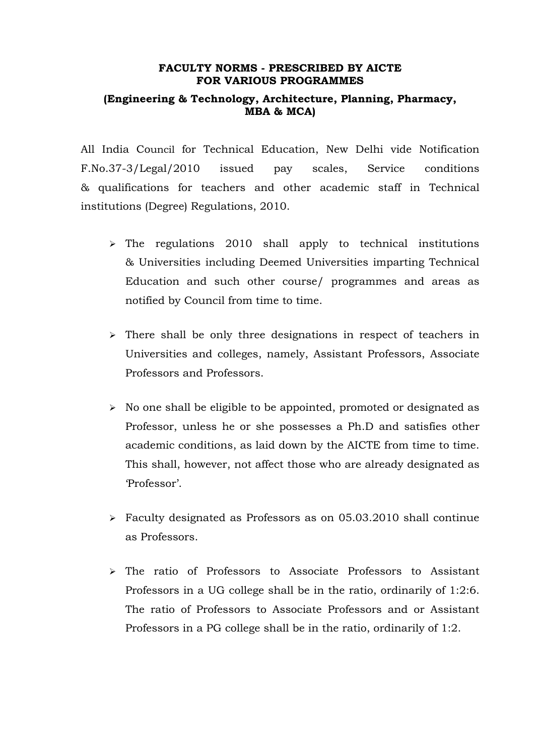### **FACULTY NORMS - PRESCRIBED BY AICTE FOR VARIOUS PROGRAMMES (Engineering & Technology, Architecture, Planning, Pharmacy, MBA & MCA)**

All India Council for Technical Education, New Delhi vide Notification F.No.37-3/Legal/2010 issued pay scales, Service conditions & qualifications for teachers and other academic staff in Technical institutions (Degree) Regulations, 2010.

- $\ge$  The regulations 2010 shall apply to technical institutions & Universities including Deemed Universities imparting Technical Education and such other course/ programmes and areas as notified by Council from time to time.
- $\triangleright$  There shall be only three designations in respect of teachers in Universities and colleges, namely, Assistant Professors, Associate Professors and Professors.
- $\triangleright$  No one shall be eligible to be appointed, promoted or designated as Professor, unless he or she possesses a Ph.D and satisfies other academic conditions, as laid down by the AICTE from time to time. This shall, however, not affect those who are already designated as 'Professor'.
- Faculty designated as Professors as on 05.03.2010 shall continue as Professors.
- The ratio of Professors to Associate Professors to Assistant Professors in a UG college shall be in the ratio, ordinarily of 1:2:6. The ratio of Professors to Associate Professors and or Assistant Professors in a PG college shall be in the ratio, ordinarily of 1:2.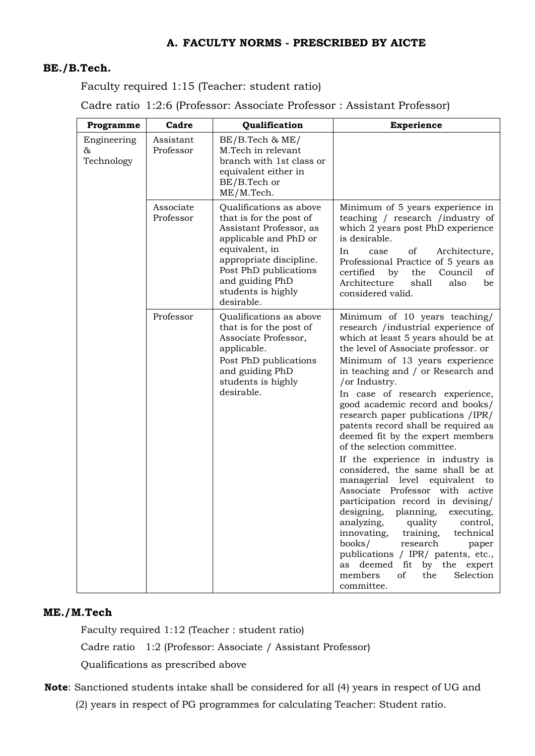#### **A. FACULTY NORMS - PRESCRIBED BY AICTE**

#### **BE./B.Tech.**

Faculty required 1:15 (Teacher: student ratio)

Cadre ratio 1:2:6 (Professor: Associate Professor : Assistant Professor)

| Programme                      | Cadre                  | Qualification                                                                                                                                                                                                                       | <b>Experience</b>                                                                                                                                                                                                                                                                                                                                                                                                                                                                                                                                                                                                                                                                                                                                                                                                                                                                                                            |
|--------------------------------|------------------------|-------------------------------------------------------------------------------------------------------------------------------------------------------------------------------------------------------------------------------------|------------------------------------------------------------------------------------------------------------------------------------------------------------------------------------------------------------------------------------------------------------------------------------------------------------------------------------------------------------------------------------------------------------------------------------------------------------------------------------------------------------------------------------------------------------------------------------------------------------------------------------------------------------------------------------------------------------------------------------------------------------------------------------------------------------------------------------------------------------------------------------------------------------------------------|
| Engineering<br>&<br>Technology | Assistant<br>Professor | $BE/B$ . Tech & ME/<br>M.Tech in relevant<br>branch with 1st class or<br>equivalent either in<br>$BE/B$ . Tech or<br>ME/M.Tech.                                                                                                     |                                                                                                                                                                                                                                                                                                                                                                                                                                                                                                                                                                                                                                                                                                                                                                                                                                                                                                                              |
|                                | Associate<br>Professor | Qualifications as above<br>that is for the post of<br>Assistant Professor, as<br>applicable and PhD or<br>equivalent, in<br>appropriate discipline.<br>Post PhD publications<br>and guiding PhD<br>students is highly<br>desirable. | Minimum of 5 years experience in<br>teaching / research /industry of<br>which 2 years post PhD experience<br>is desirable.<br>of<br>Architecture,<br>In<br>case<br>Professional Practice of 5 years as<br>certified<br>the<br>Council<br>by<br>of<br>Architecture<br>shall<br>also<br>be<br>considered valid.                                                                                                                                                                                                                                                                                                                                                                                                                                                                                                                                                                                                                |
|                                | Professor              | Qualifications as above<br>that is for the post of<br>Associate Professor,<br>applicable.<br>Post PhD publications<br>and guiding PhD<br>students is highly<br>desirable.                                                           | Minimum of 10 years teaching/<br>research /industrial experience of<br>which at least 5 years should be at<br>the level of Associate professor. or<br>Minimum of 13 years experience<br>in teaching and / or Research and<br>/or Industry.<br>In case of research experience,<br>good academic record and books/<br>research paper publications /IPR/<br>patents record shall be required as<br>deemed fit by the expert members<br>of the selection committee.<br>If the experience in industry is<br>considered, the same shall be at<br>managerial level equivalent<br>to<br>Associate Professor with active<br>participation record in devising/<br>designing, planning,<br>executing,<br>analyzing, quality control,<br>innovating,<br>training,<br>technical<br>books/<br>research<br>paper<br>publications / IPR/ patents, etc.,<br>deemed fit by the expert<br>as<br>of<br>the<br>Selection<br>members<br>committee. |

# **ME./M.Tech**

Faculty required 1:12 (Teacher : student ratio)

Cadre ratio 1:2 (Professor: Associate / Assistant Professor)

Qualifications as prescribed above

**Note**: Sanctioned students intake shall be considered for all (4) years in respect of UG and (2) years in respect of PG programmes for calculating Teacher: Student ratio.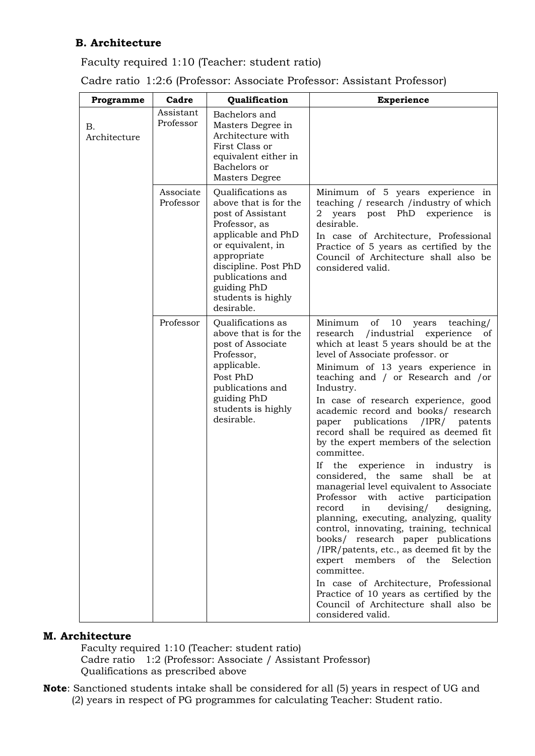### **B. Architecture**

Faculty required 1:10 (Teacher: student ratio)

| Cadre ratio 1:2:6 (Professor: Associate Professor: Assistant Professor) |  |  |  |  |  |
|-------------------------------------------------------------------------|--|--|--|--|--|
|-------------------------------------------------------------------------|--|--|--|--|--|

| Programme                 | Cadre                  | Qualification                                                                                                                                                                                                                             | <b>Experience</b>                                                                                                                                                                                                                                                                                                                                                                                                                                                                                                                                                                                                                                                                                                                                                                                                                                                                                                                                                                                                                                                                         |
|---------------------------|------------------------|-------------------------------------------------------------------------------------------------------------------------------------------------------------------------------------------------------------------------------------------|-------------------------------------------------------------------------------------------------------------------------------------------------------------------------------------------------------------------------------------------------------------------------------------------------------------------------------------------------------------------------------------------------------------------------------------------------------------------------------------------------------------------------------------------------------------------------------------------------------------------------------------------------------------------------------------------------------------------------------------------------------------------------------------------------------------------------------------------------------------------------------------------------------------------------------------------------------------------------------------------------------------------------------------------------------------------------------------------|
| <b>B.</b><br>Architecture | Assistant<br>Professor | Bachelors and<br>Masters Degree in<br>Architecture with<br>First Class or<br>equivalent either in<br>Bachelors or<br>Masters Degree                                                                                                       |                                                                                                                                                                                                                                                                                                                                                                                                                                                                                                                                                                                                                                                                                                                                                                                                                                                                                                                                                                                                                                                                                           |
|                           | Associate<br>Professor | Qualifications as<br>above that is for the<br>post of Assistant<br>Professor, as<br>applicable and PhD<br>or equivalent, in<br>appropriate<br>discipline. Post PhD<br>publications and<br>guiding PhD<br>students is highly<br>desirable. | Minimum of 5 years experience in<br>teaching / research /industry of which<br>years post PhD experience is<br>2.<br>desirable.<br>In case of Architecture, Professional<br>Practice of 5 years as certified by the<br>Council of Architecture shall also be<br>considered valid.                                                                                                                                                                                                                                                                                                                                                                                                                                                                                                                                                                                                                                                                                                                                                                                                          |
|                           | Professor              | Qualifications as<br>above that is for the<br>post of Associate<br>Professor,<br>applicable.<br>Post PhD<br>publications and<br>guiding PhD<br>students is highly<br>desirable.                                                           | Minimum<br>of<br>10<br>teaching/<br>years<br>research /industrial<br>experience<br>of<br>which at least 5 years should be at the<br>level of Associate professor. or<br>Minimum of 13 years experience in<br>teaching and / or Research and /or<br>Industry.<br>In case of research experience, good<br>academic record and books/ research<br>paper publications /IPR/<br>patents<br>record shall be required as deemed fit<br>by the expert members of the selection<br>committee.<br>the experience in<br>Ιf<br>industry<br>1S<br>considered, the same<br>shall be<br>at<br>managerial level equivalent to Associate<br>Professor with active<br>participation<br>devising/<br>record<br>in<br>designing,<br>planning, executing, analyzing, quality<br>control, innovating, training, technical<br>books/ research paper publications<br>/IPR/patents, etc., as deemed fit by the<br>expert members of the Selection<br>committee.<br>In case of Architecture, Professional<br>Practice of 10 years as certified by the<br>Council of Architecture shall also be<br>considered valid. |

#### **M. Architecture**

Faculty required 1:10 (Teacher: student ratio) Cadre ratio 1:2 (Professor: Associate / Assistant Professor) Qualifications as prescribed above

**Note**: Sanctioned students intake shall be considered for all (5) years in respect of UG and (2) years in respect of PG programmes for calculating Teacher: Student ratio.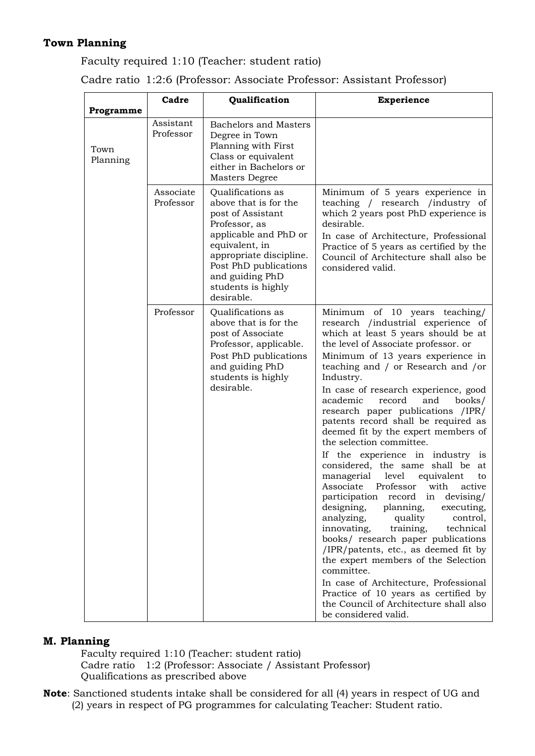#### **Town Planning**

Faculty required 1:10 (Teacher: student ratio)

Cadre ratio 1:2:6 (Professor: Associate Professor: Assistant Professor)

| Programme        | Cadre                  | Qualification                                                                                                                                                                                                                          | <b>Experience</b>                                                                                                                                                                                                                                                                                                                                                                                                                                                                                                                                                                                                                                                                                                                                                                                                                                                                                                                                                                                                                                                                                        |
|------------------|------------------------|----------------------------------------------------------------------------------------------------------------------------------------------------------------------------------------------------------------------------------------|----------------------------------------------------------------------------------------------------------------------------------------------------------------------------------------------------------------------------------------------------------------------------------------------------------------------------------------------------------------------------------------------------------------------------------------------------------------------------------------------------------------------------------------------------------------------------------------------------------------------------------------------------------------------------------------------------------------------------------------------------------------------------------------------------------------------------------------------------------------------------------------------------------------------------------------------------------------------------------------------------------------------------------------------------------------------------------------------------------|
| Town<br>Planning | Assistant<br>Professor | <b>Bachelors and Masters</b><br>Degree in Town<br>Planning with First<br>Class or equivalent<br>either in Bachelors or<br>Masters Degree                                                                                               |                                                                                                                                                                                                                                                                                                                                                                                                                                                                                                                                                                                                                                                                                                                                                                                                                                                                                                                                                                                                                                                                                                          |
|                  | Associate<br>Professor | Qualifications as<br>above that is for the<br>post of Assistant<br>Professor, as<br>applicable and PhD or<br>equivalent, in<br>appropriate discipline.<br>Post PhD publications<br>and guiding PhD<br>students is highly<br>desirable. | Minimum of 5 years experience in<br>teaching / research /industry of<br>which 2 years post PhD experience is<br>desirable.<br>In case of Architecture, Professional<br>Practice of 5 years as certified by the<br>Council of Architecture shall also be<br>considered valid.                                                                                                                                                                                                                                                                                                                                                                                                                                                                                                                                                                                                                                                                                                                                                                                                                             |
|                  | Professor              | Qualifications as<br>above that is for the<br>post of Associate<br>Professor, applicable.<br>Post PhD publications<br>and guiding PhD<br>students is highly<br>desirable.                                                              | Minimum of 10 years teaching/<br>research /industrial experience of<br>which at least 5 years should be at<br>the level of Associate professor. or<br>Minimum of 13 years experience in<br>teaching and / or Research and /or<br>Industry.<br>In case of research experience, good<br>academic<br>record<br>and<br>books/<br>research paper publications /IPR/<br>patents record shall be required as<br>deemed fit by the expert members of<br>the selection committee.<br>If the experience in industry<br>1S<br>considered, the same<br>shall be<br>at<br>managerial<br>level<br>equivalent<br>to<br>Associate Professor<br>with<br>active<br>participation<br>devising/<br>record<br>in<br>designing,<br>planning,<br>executing,<br>analyzing,<br>quality<br>control,<br>technical<br>innovating,<br>training,<br>books/ research paper publications<br>/IPR/patents, etc., as deemed fit by<br>the expert members of the Selection<br>committee.<br>In case of Architecture, Professional<br>Practice of 10 years as certified by<br>the Council of Architecture shall also<br>be considered valid. |

#### **M. Planning**

Faculty required 1:10 (Teacher: student ratio) Cadre ratio 1:2 (Professor: Associate / Assistant Professor) Qualifications as prescribed above

**Note**: Sanctioned students intake shall be considered for all (4) years in respect of UG and (2) years in respect of PG programmes for calculating Teacher: Student ratio.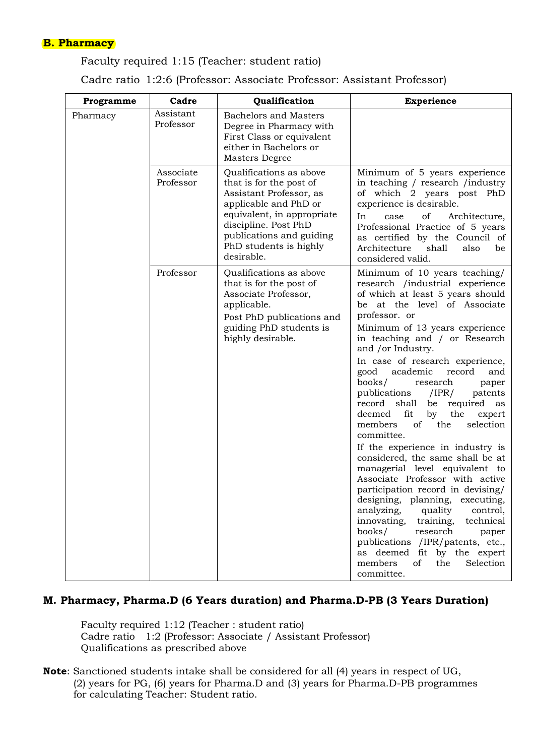#### **B. Pharmacy**

Faculty required 1:15 (Teacher: student ratio)

Cadre ratio 1:2:6 (Professor: Associate Professor: Assistant Professor)

| Programme | Cadre                  | Qualification                                                                                                                                                                                                                    | <b>Experience</b>                                                                                                                                                                                                                                                                                                                                                                                                                                                                                                                                                                                                                                                                                                                                                                                                                                                                                                                                                                      |
|-----------|------------------------|----------------------------------------------------------------------------------------------------------------------------------------------------------------------------------------------------------------------------------|----------------------------------------------------------------------------------------------------------------------------------------------------------------------------------------------------------------------------------------------------------------------------------------------------------------------------------------------------------------------------------------------------------------------------------------------------------------------------------------------------------------------------------------------------------------------------------------------------------------------------------------------------------------------------------------------------------------------------------------------------------------------------------------------------------------------------------------------------------------------------------------------------------------------------------------------------------------------------------------|
| Pharmacy  | Assistant<br>Professor | <b>Bachelors and Masters</b><br>Degree in Pharmacy with<br>First Class or equivalent<br>either in Bachelors or<br>Masters Degree                                                                                                 |                                                                                                                                                                                                                                                                                                                                                                                                                                                                                                                                                                                                                                                                                                                                                                                                                                                                                                                                                                                        |
|           | Associate<br>Professor | Qualifications as above<br>that is for the post of<br>Assistant Professor, as<br>applicable and PhD or<br>equivalent, in appropriate<br>discipline. Post PhD<br>publications and guiding<br>PhD students is highly<br>desirable. | Minimum of 5 years experience<br>in teaching / research /industry<br>of which 2 years post PhD<br>experience is desirable.<br>In<br>of<br>case<br>Architecture,<br>Professional Practice of 5 years<br>as certified by the Council of<br>Architecture<br>shall<br>also<br>be<br>considered valid.                                                                                                                                                                                                                                                                                                                                                                                                                                                                                                                                                                                                                                                                                      |
|           | Professor              | Qualifications as above<br>that is for the post of<br>Associate Professor,<br>applicable.<br>Post PhD publications and<br>guiding PhD students is<br>highly desirable.                                                           | Minimum of 10 years teaching/<br>research /industrial experience<br>of which at least 5 years should<br>be at the level of Associate<br>professor. or<br>Minimum of 13 years experience<br>in teaching and / or Research<br>and /or Industry.<br>In case of research experience,<br>academic<br>good<br>record<br>and<br>books/<br>research<br>paper<br>publications<br>/IPR/<br>patents<br>record shall<br>be<br>required<br>as<br>fit<br>by<br>the<br>deemed<br>expert<br>of<br>selection<br>members<br>the<br>committee.<br>If the experience in industry is<br>considered, the same shall be at<br>managerial level equivalent to<br>Associate Professor with active<br>participation record in devising/<br>planning, executing,<br>designing,<br>analyzing,<br>quality<br>control,<br>innovating,<br>training,<br>technical<br>books/<br>research<br>paper<br>publications /IPR/patents, etc.,<br>as deemed fit by the expert<br>members<br>of<br>the<br>Selection<br>committee. |

#### **M. Pharmacy, Pharma.D (6 Years duration) and Pharma.D-PB (3 Years Duration)**

Faculty required 1:12 (Teacher : student ratio) Cadre ratio 1:2 (Professor: Associate / Assistant Professor) Qualifications as prescribed above

**Note**: Sanctioned students intake shall be considered for all (4) years in respect of UG, (2) years for PG, (6) years for Pharma.D and (3) years for Pharma.D-PB programmes for calculating Teacher: Student ratio.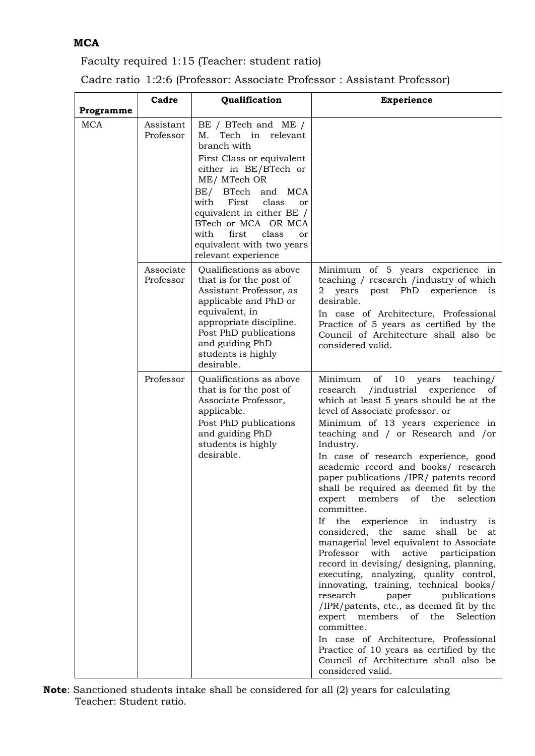#### **MCA**

Faculty required 1:15 (Teacher: student ratio)

Cadre ratio 1:2:6 (Professor: Associate Professor : Assistant Professor)

| Programme  | Cadre                  | Qualification                                                                                                                                                                                                                                                                                                                                    | <b>Experience</b>                                                                                                                                                                                                                                                                                                                                                                                                                                                                                                                                                                                                                                                                                                                                                                                                                                                                                                                                                                                                                                                             |
|------------|------------------------|--------------------------------------------------------------------------------------------------------------------------------------------------------------------------------------------------------------------------------------------------------------------------------------------------------------------------------------------------|-------------------------------------------------------------------------------------------------------------------------------------------------------------------------------------------------------------------------------------------------------------------------------------------------------------------------------------------------------------------------------------------------------------------------------------------------------------------------------------------------------------------------------------------------------------------------------------------------------------------------------------------------------------------------------------------------------------------------------------------------------------------------------------------------------------------------------------------------------------------------------------------------------------------------------------------------------------------------------------------------------------------------------------------------------------------------------|
| <b>MCA</b> | Assistant<br>Professor | BE / BTech and ME /<br>Tech in relevant<br>М.<br>branch with<br>First Class or equivalent<br>either in BE/BTech or<br>ME/ MTech OR<br>BE/<br>BTech<br>and MCA<br>with<br>First<br>class<br>or<br>equivalent in either BE /<br>BTech or MCA OR MCA<br>with<br>first<br>class<br><sub>or</sub><br>equivalent with two years<br>relevant experience |                                                                                                                                                                                                                                                                                                                                                                                                                                                                                                                                                                                                                                                                                                                                                                                                                                                                                                                                                                                                                                                                               |
|            | Associate<br>Professor | Qualifications as above<br>that is for the post of<br>Assistant Professor, as<br>applicable and PhD or<br>equivalent, in<br>appropriate discipline.<br>Post PhD publications<br>and guiding PhD<br>students is highly<br>desirable.                                                                                                              | Minimum of 5 years experience in<br>teaching / research /industry of which<br>2<br>years<br>post PhD experience is<br>desirable.<br>In case of Architecture, Professional<br>Practice of 5 years as certified by the<br>Council of Architecture shall also be<br>considered valid.                                                                                                                                                                                                                                                                                                                                                                                                                                                                                                                                                                                                                                                                                                                                                                                            |
|            | Professor              | Qualifications as above<br>that is for the post of<br>Associate Professor,<br>applicable.<br>Post PhD publications<br>and guiding PhD<br>students is highly<br>desirable.                                                                                                                                                                        | Minimum<br>of<br>10<br>teaching/<br>years<br>/industrial<br>experience<br>research<br>of<br>which at least 5 years should be at the<br>level of Associate professor. or<br>Minimum of 13 years experience in<br>teaching and / or Research and /or<br>Industry.<br>In case of research experience, good<br>academic record and books/ research<br>paper publications /IPR/ patents record<br>shall be required as deemed fit by the<br>expert members of the<br>selection<br>committee.<br>If the experience in industry is<br>considered, the same shall be at<br>managerial level equivalent to Associate<br>Professor<br>with<br>active participation<br>record in devising/ designing, planning,<br>executing, analyzing, quality control,<br>innovating, training, technical books/<br>research<br>publications<br>paper<br>/IPR/patents, etc., as deemed fit by the<br>expert members of the Selection<br>committee.<br>In case of Architecture, Professional<br>Practice of 10 years as certified by the<br>Council of Architecture shall also be<br>considered valid. |

**Note**: Sanctioned students intake shall be considered for all (2) years for calculating Teacher: Student ratio.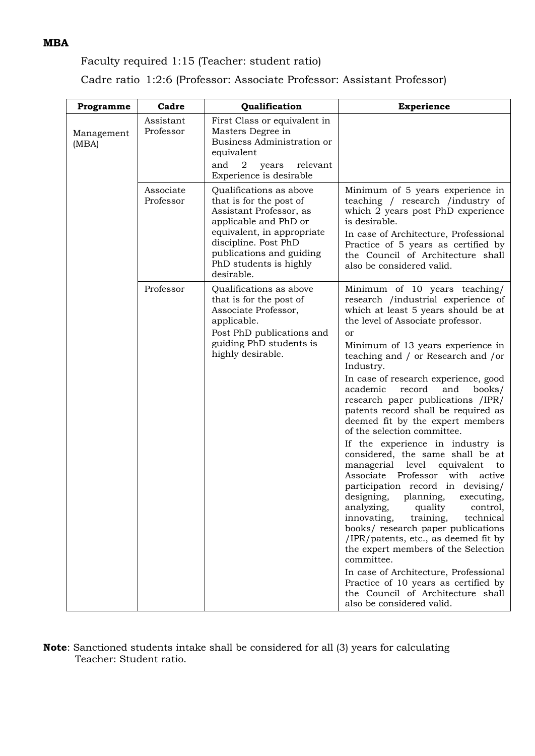#### **MBA**

Faculty required 1:15 (Teacher: student ratio)

Cadre ratio 1:2:6 (Professor: Associate Professor: Assistant Professor)

| Programme           | Cadre                  | Qualification                                                                                                                                                                                                                    | <b>Experience</b>                                                                                                                                                                                                                                                                                                                                                                                                                                                                                                                                                                                                                                                                                                                                                                                                                                                                                                                                                                                                                                                                |
|---------------------|------------------------|----------------------------------------------------------------------------------------------------------------------------------------------------------------------------------------------------------------------------------|----------------------------------------------------------------------------------------------------------------------------------------------------------------------------------------------------------------------------------------------------------------------------------------------------------------------------------------------------------------------------------------------------------------------------------------------------------------------------------------------------------------------------------------------------------------------------------------------------------------------------------------------------------------------------------------------------------------------------------------------------------------------------------------------------------------------------------------------------------------------------------------------------------------------------------------------------------------------------------------------------------------------------------------------------------------------------------|
| Management<br>(MBA) | Assistant<br>Professor | First Class or equivalent in<br>Masters Degree in<br>Business Administration or<br>equivalent<br>and<br>2<br>relevant<br>years<br>Experience is desirable                                                                        |                                                                                                                                                                                                                                                                                                                                                                                                                                                                                                                                                                                                                                                                                                                                                                                                                                                                                                                                                                                                                                                                                  |
|                     | Associate<br>Professor | Qualifications as above<br>that is for the post of<br>Assistant Professor, as<br>applicable and PhD or<br>equivalent, in appropriate<br>discipline. Post PhD<br>publications and guiding<br>PhD students is highly<br>desirable. | Minimum of 5 years experience in<br>teaching / research /industry of<br>which 2 years post PhD experience<br>is desirable.<br>In case of Architecture, Professional<br>Practice of 5 years as certified by<br>the Council of Architecture shall<br>also be considered valid.                                                                                                                                                                                                                                                                                                                                                                                                                                                                                                                                                                                                                                                                                                                                                                                                     |
|                     | Professor              | Qualifications as above<br>that is for the post of<br>Associate Professor,<br>applicable.<br>Post PhD publications and<br>guiding PhD students is<br>highly desirable.                                                           | Minimum of 10 years teaching/<br>research /industrial experience of<br>which at least 5 years should be at<br>the level of Associate professor.<br>or<br>Minimum of 13 years experience in<br>teaching and / or Research and /or<br>Industry.<br>In case of research experience, good<br>academic<br>record<br>and<br>books/<br>research paper publications /IPR/<br>patents record shall be required as<br>deemed fit by the expert members<br>of the selection committee.<br>If the experience in industry is<br>considered, the same shall be at<br>managerial level<br>equivalent<br>to<br>Associate Professor with<br>active<br>participation record in devising/<br>designing, planning,<br>executing,<br>quality<br>analyzing,<br>control,<br>innovating,<br>training,<br>technical<br>books/ research paper publications<br>/IPR/patents, etc., as deemed fit by<br>the expert members of the Selection<br>committee.<br>In case of Architecture, Professional<br>Practice of 10 years as certified by<br>the Council of Architecture shall<br>also be considered valid. |

**Note**: Sanctioned students intake shall be considered for all (3) years for calculating Teacher: Student ratio.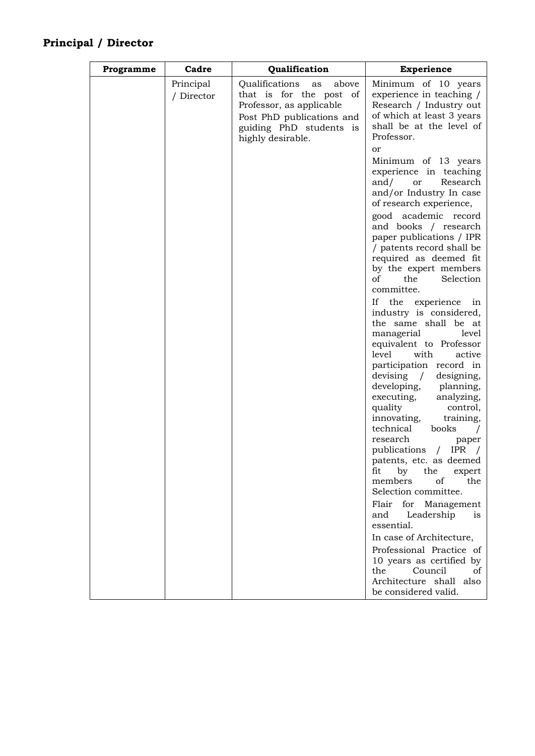# **Principal / Director**

| Programme | Cadre                   | Qualification                                                                                                                                                     | Experience                                                                                                                                                                         |
|-----------|-------------------------|-------------------------------------------------------------------------------------------------------------------------------------------------------------------|------------------------------------------------------------------------------------------------------------------------------------------------------------------------------------|
|           | Principal<br>/ Director | Oualifications<br>above<br>as<br>that is for the post of<br>Professor, as applicable<br>Post PhD publications and<br>guiding PhD students is<br>highly desirable. | Minimum of 10 years<br>experience in teaching /<br>Research / Industry out<br>of which at least 3 years<br>shall be at the level of<br>Professor.<br>or                            |
|           |                         |                                                                                                                                                                   | Minimum of 13 years<br>experience in teaching<br>and/<br>Research<br>or<br>and/or Industry In case<br>of research experience,                                                      |
|           |                         |                                                                                                                                                                   | good academic record<br>and books / research<br>paper publications / IPR<br>/ patents record shall be<br>required as deemed fit<br>by the expert members<br>of<br>the<br>Selection |
|           |                         |                                                                                                                                                                   | committee.<br>If the experience in<br>industry is considered,<br>the same shall be at<br>managerial<br>level<br>equivalent to Professor                                            |
|           |                         |                                                                                                                                                                   | with<br>level<br>active<br>participation record in<br>$devising$ /<br>designing,<br>developing, planning,<br>executing,<br>analyzing,<br>quality<br>control,                       |
|           |                         |                                                                                                                                                                   | innovating,<br>training,<br>technical<br>books<br>research<br>paper<br>publications / IPR /<br>patents, etc. as deemed                                                             |
|           |                         |                                                                                                                                                                   | fit<br>the<br>by<br>expert<br>members<br>of<br>the<br>Selection committee.<br>for Management<br>Flair<br>Leadership<br>and<br>is                                                   |
|           |                         |                                                                                                                                                                   | essential.<br>In case of Architecture,<br>Professional Practice of<br>10 years as certified by                                                                                     |
|           |                         |                                                                                                                                                                   | Council<br>the<br>οf<br>Architecture shall also<br>be considered valid.                                                                                                            |